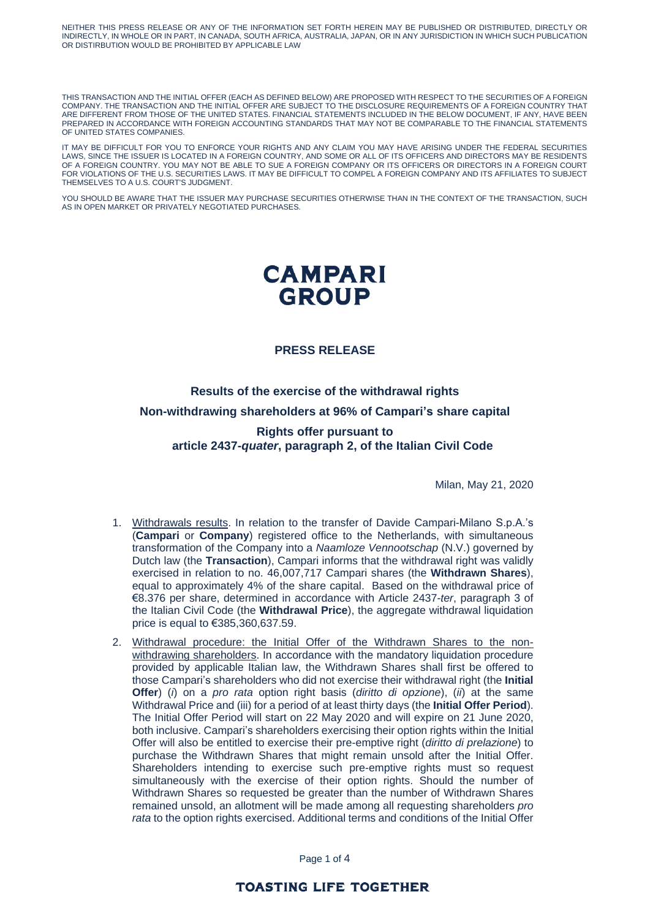NEITHER THIS PRESS RELEASE OR ANY OF THE INFORMATION SET FORTH HEREIN MAY BE PUBLISHED OR DISTRIBUTED, DIRECTLY OR INDIRECTLY, IN WHOLE OR IN PART, IN CANADA, SOUTH AFRICA, AUSTRALIA, JAPAN, OR IN ANY JURISDICTION IN WHICH SUCH PUBLICATION OR DISTIRBUTION WOULD BE PROHIBITED BY APPLICABLE LAW

THIS TRANSACTION AND THE INITIAL OFFER (EACH AS DEFINED BELOW) ARE PROPOSED WITH RESPECT TO THE SECURITIES OF A FOREIGN COMPANY. THE TRANSACTION AND THE INITIAL OFFER ARE SUBJECT TO THE DISCLOSURE REQUIREMENTS OF A FOREIGN COUNTRY THAT ARE DIFFERENT FROM THOSE OF THE UNITED STATES. FINANCIAL STATEMENTS INCLUDED IN THE BELOW DOCUMENT, IF ANY, HAVE BEEN PREPARED IN ACCORDANCE WITH FOREIGN ACCOUNTING STANDARDS THAT MAY NOT BE COMPARABLE TO THE FINANCIAL STATEMENTS OF UNITED STATES COMPANIES.

IT MAY BE DIFFICULT FOR YOU TO ENFORCE YOUR RIGHTS AND ANY CLAIM YOU MAY HAVE ARISING UNDER THE FEDERAL SECURITIES LAWS, SINCE THE ISSUER IS LOCATED IN A FOREIGN COUNTRY, AND SOME OR ALL OF ITS OFFICERS AND DIRECTORS MAY BE RESIDENTS OF A FOREIGN COUNTRY. YOU MAY NOT BE ABLE TO SUE A FOREIGN COMPANY OR ITS OFFICERS OR DIRECTORS IN A FOREIGN COURT FOR VIOLATIONS OF THE U.S. SECURITIES LAWS. IT MAY BE DIFFICULT TO COMPEL A FOREIGN COMPANY AND ITS AFFILIATES TO SUBJECT THEMSELVES TO A U.S. COURT'S JUDGMENT.

YOU SHOULD BE AWARE THAT THE ISSUER MAY PURCHASE SECURITIES OTHERWISE THAN IN THE CONTEXT OF THE TRANSACTION, SUCH AS IN OPEN MARKET OR PRIVATELY NEGOTIATED PURCHASES.

# **CAMPARI GROUP**

## **PRESS RELEASE**

**Results of the exercise of the withdrawal rights Non-withdrawing shareholders at 96% of Campari's share capital**

**Rights offer pursuant to article 2437-***quater***, paragraph 2, of the Italian Civil Code**

Milan, May 21, 2020

- 1. Withdrawals results. In relation to the transfer of Davide Campari-Milano S.p.A.'s (**Campari** or **Company**) registered office to the Netherlands, with simultaneous transformation of the Company into a *Naamloze Vennootschap* (N.V.) governed by Dutch law (the **Transaction**), Campari informs that the withdrawal right was validly exercised in relation to no. 46,007,717 Campari shares (the **Withdrawn Shares**), equal to approximately 4% of the share capital. Based on the withdrawal price of €8.376 per share, determined in accordance with Article 2437-*ter*, paragraph 3 of the Italian Civil Code (the **Withdrawal Price**), the aggregate withdrawal liquidation price is equal to €385,360,637.59.
- 2. Withdrawal procedure: the Initial Offer of the Withdrawn Shares to the nonwithdrawing shareholders. In accordance with the mandatory liquidation procedure provided by applicable Italian law, the Withdrawn Shares shall first be offered to those Campari's shareholders who did not exercise their withdrawal right (the **Initial Offer**) (*i*) on a *pro rata* option right basis (*diritto di opzione*), (*ii*) at the same Withdrawal Price and (iii) for a period of at least thirty days (the **Initial Offer Period**). The Initial Offer Period will start on 22 May 2020 and will expire on 21 June 2020, both inclusive. Campari's shareholders exercising their option rights within the Initial Offer will also be entitled to exercise their pre-emptive right (*diritto di prelazione*) to purchase the Withdrawn Shares that might remain unsold after the Initial Offer. Shareholders intending to exercise such pre-emptive rights must so request simultaneously with the exercise of their option rights. Should the number of Withdrawn Shares so requested be greater than the number of Withdrawn Shares remained unsold, an allotment will be made among all requesting shareholders *pro rata* to the option rights exercised. Additional terms and conditions of the Initial Offer

Page 1 of 4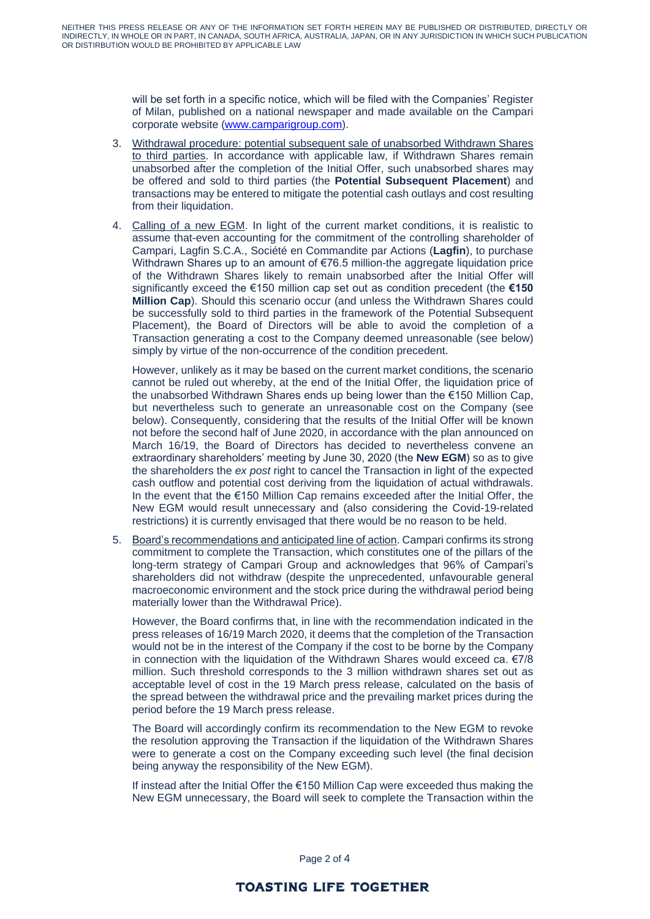will be set forth in a specific notice, which will be filed with the Companies' Register of Milan, published on a national newspaper and made available on the Campari corporate website [\(www.camparigroup.com\)](http://www.camparigroup.com/).

- 3. Withdrawal procedure: potential subsequent sale of unabsorbed Withdrawn Shares to third parties. In accordance with applicable law, if Withdrawn Shares remain unabsorbed after the completion of the Initial Offer, such unabsorbed shares may be offered and sold to third parties (the **Potential Subsequent Placement**) and transactions may be entered to mitigate the potential cash outlays and cost resulting from their liquidation.
- 4. Calling of a new EGM. In light of the current market conditions, it is realistic to assume that-even accounting for the commitment of the controlling shareholder of Campari, Lagfin S.C.A., Société en Commandite par Actions (**Lagfin**), to purchase Withdrawn Shares up to an amount of €76.5 million-the aggregate liquidation price of the Withdrawn Shares likely to remain unabsorbed after the Initial Offer will significantly exceed the €150 million cap set out as condition precedent (the **€150 Million Cap**). Should this scenario occur (and unless the Withdrawn Shares could be successfully sold to third parties in the framework of the Potential Subsequent Placement), the Board of Directors will be able to avoid the completion of a Transaction generating a cost to the Company deemed unreasonable (see below) simply by virtue of the non-occurrence of the condition precedent.

However, unlikely as it may be based on the current market conditions, the scenario cannot be ruled out whereby, at the end of the Initial Offer, the liquidation price of the unabsorbed Withdrawn Shares ends up being lower than the €150 Million Cap, but nevertheless such to generate an unreasonable cost on the Company (see below). Consequently, considering that the results of the Initial Offer will be known not before the second half of June 2020, in accordance with the plan announced on March 16/19, the Board of Directors has decided to nevertheless convene an extraordinary shareholders' meeting by June 30, 2020 (the **New EGM**) so as to give the shareholders the *ex post* right to cancel the Transaction in light of the expected cash outflow and potential cost deriving from the liquidation of actual withdrawals. In the event that the €150 Million Cap remains exceeded after the Initial Offer, the New EGM would result unnecessary and (also considering the Covid-19-related restrictions) it is currently envisaged that there would be no reason to be held.

5. Board's recommendations and anticipated line of action. Campari confirms its strong commitment to complete the Transaction, which constitutes one of the pillars of the long-term strategy of Campari Group and acknowledges that 96% of Campari's shareholders did not withdraw (despite the unprecedented, unfavourable general macroeconomic environment and the stock price during the withdrawal period being materially lower than the Withdrawal Price).

However, the Board confirms that, in line with the recommendation indicated in the press releases of 16/19 March 2020, it deems that the completion of the Transaction would not be in the interest of the Company if the cost to be borne by the Company in connection with the liquidation of the Withdrawn Shares would exceed ca.  $\epsilon$ 7/8 million. Such threshold corresponds to the 3 million withdrawn shares set out as acceptable level of cost in the 19 March press release, calculated on the basis of the spread between the withdrawal price and the prevailing market prices during the period before the 19 March press release.

The Board will accordingly confirm its recommendation to the New EGM to revoke the resolution approving the Transaction if the liquidation of the Withdrawn Shares were to generate a cost on the Company exceeding such level (the final decision being anyway the responsibility of the New EGM).

If instead after the Initial Offer the €150 Million Cap were exceeded thus making the New EGM unnecessary, the Board will seek to complete the Transaction within the

Page 2 of 4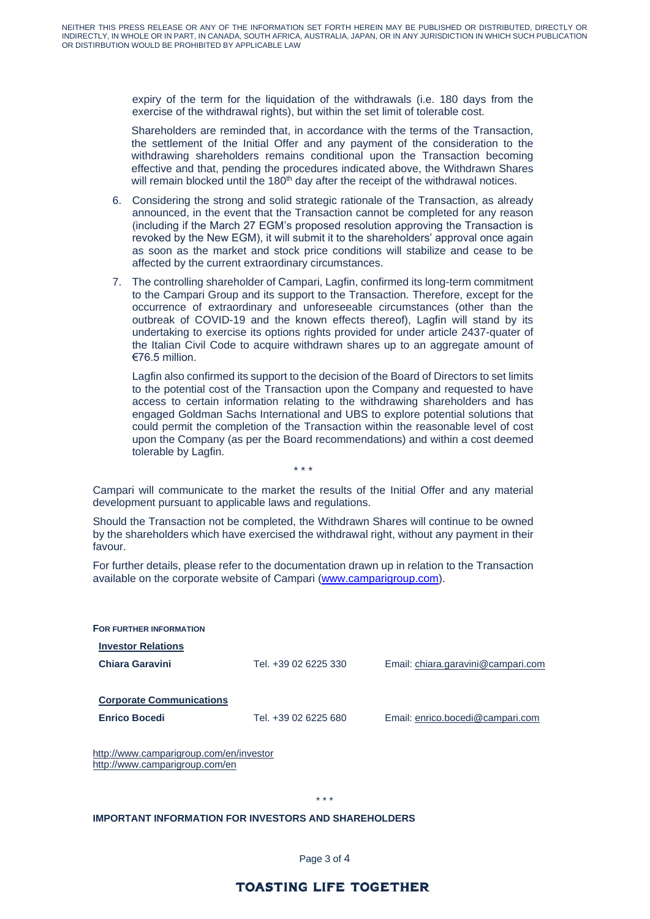expiry of the term for the liquidation of the withdrawals (i.e. 180 days from the exercise of the withdrawal rights), but within the set limit of tolerable cost.

Shareholders are reminded that, in accordance with the terms of the Transaction, the settlement of the Initial Offer and any payment of the consideration to the withdrawing shareholders remains conditional upon the Transaction becoming effective and that, pending the procedures indicated above, the Withdrawn Shares will remain blocked until the 180<sup>th</sup> day after the receipt of the withdrawal notices.

- 6. Considering the strong and solid strategic rationale of the Transaction, as already announced, in the event that the Transaction cannot be completed for any reason (including if the March 27 EGM's proposed resolution approving the Transaction is revoked by the New EGM), it will submit it to the shareholders' approval once again as soon as the market and stock price conditions will stabilize and cease to be affected by the current extraordinary circumstances.
- 7. The controlling shareholder of Campari, Lagfin, confirmed its long-term commitment to the Campari Group and its support to the Transaction. Therefore, except for the occurrence of extraordinary and unforeseeable circumstances (other than the outbreak of COVID-19 and the known effects thereof), Lagfin will stand by its undertaking to exercise its options rights provided for under article 2437-quater of the Italian Civil Code to acquire withdrawn shares up to an aggregate amount of €76.5 million.

Lagfin also confirmed its support to the decision of the Board of Directors to set limits to the potential cost of the Transaction upon the Company and requested to have access to certain information relating to the withdrawing shareholders and has engaged Goldman Sachs International and UBS to explore potential solutions that could permit the completion of the Transaction within the reasonable level of cost upon the Company (as per the Board recommendations) and within a cost deemed tolerable by Lagfin.

Campari will communicate to the market the results of the Initial Offer and any material development pursuant to applicable laws and regulations.

\* \* \*

Should the Transaction not be completed, the Withdrawn Shares will continue to be owned by the shareholders which have exercised the withdrawal right, without any payment in their favour.

For further details, please refer to the documentation drawn up in relation to the Transaction available on the corporate website of Campari [\(www.camparigroup.com\)](http://www.camparigroup.com/).

| <b>FOR FURTHER INFORMATION</b>                                            |                      |                                    |
|---------------------------------------------------------------------------|----------------------|------------------------------------|
| <b>Investor Relations</b>                                                 |                      |                                    |
| <b>Chiara Garavini</b>                                                    | Tel. +39 02 6225 330 | Email: chiara.garavini@campari.com |
| <b>Corporate Communications</b><br><b>Enrico Bocedi</b>                   | Tel. +39 02 6225 680 | Email: enrico.bocedi@campari.com   |
| http://www.camparigroup.com/en/investor<br>http://www.camparigroup.com/en |                      |                                    |

#### \* \* \*

### **IMPORTANT INFORMATION FOR INVESTORS AND SHAREHOLDERS**

Page 3 of 4